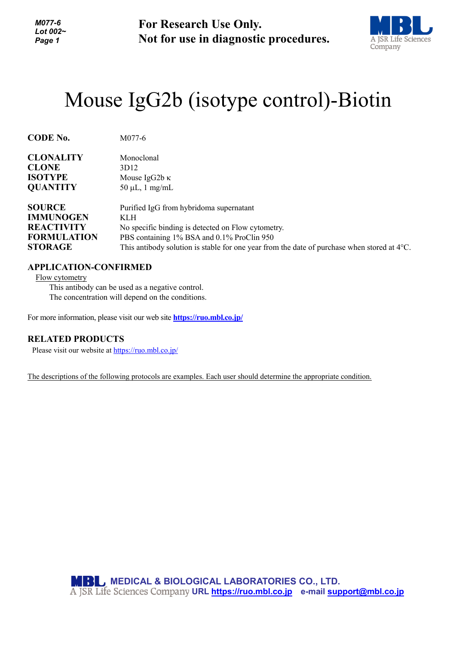*M077-6 Lot 002~ Page 1*

**For Research Use Only. Not for use in diagnostic procedures.**



## Mouse IgG2b (isotype control)-Biotin

| <b>CODE No.</b>    | M077-6                                                                                                |
|--------------------|-------------------------------------------------------------------------------------------------------|
| <b>CLONALITY</b>   | Monoclonal                                                                                            |
| <b>CLONE</b>       | 3D <sub>12</sub>                                                                                      |
| <b>ISOTYPE</b>     | Mouse IgG2b $\kappa$                                                                                  |
| <b>QUANTITY</b>    | $50 \mu L$ , 1 mg/mL                                                                                  |
| <b>SOURCE</b>      | Purified IgG from hybridoma supernatant                                                               |
| <b>IMMUNOGEN</b>   | KLH                                                                                                   |
| <b>REACTIVITY</b>  | No specific binding is detected on Flow cytometry.                                                    |
| <b>FORMULATION</b> | PBS containing 1% BSA and 0.1% ProClin 950                                                            |
| <b>STORAGE</b>     | This antibody solution is stable for one year from the date of purchase when stored at $4^{\circ}$ C. |

## **APPLICATION-CONFIRMED**

Flow cytometry

This antibody can be used as a negative control. The concentration will depend on the conditions.

For more information, please visit our web site **<https://ruo.mbl.co.jp/>**

## **RELATED PRODUCTS**

Please visit our website at<https://ruo.mbl.co.jp/>

The descriptions of the following protocols are examples. Each user should determine the appropriate condition.